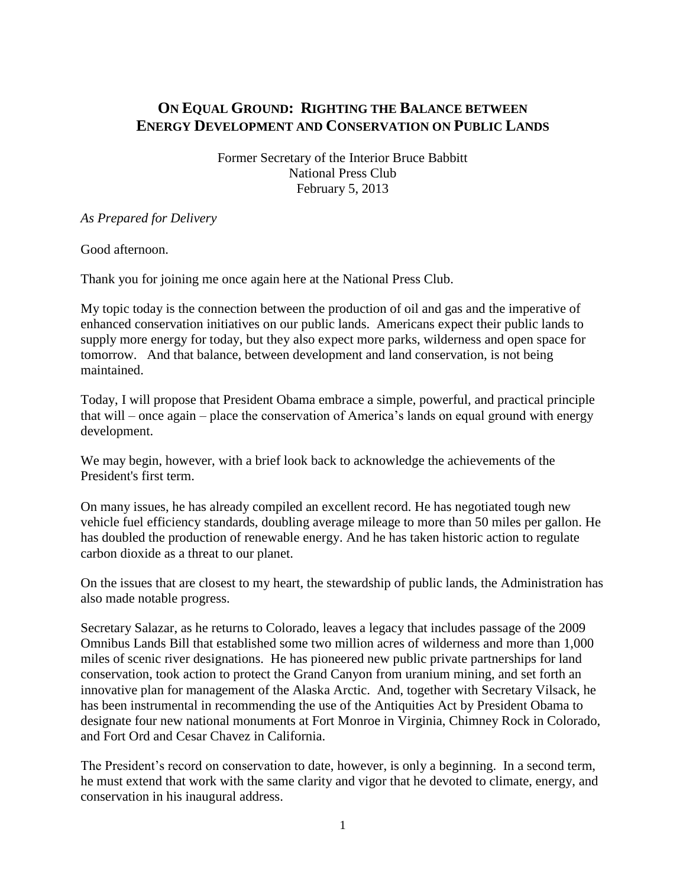# **ON EQUAL GROUND: RIGHTING THE BALANCE BETWEEN ENERGY DEVELOPMENT AND CONSERVATION ON PUBLIC LANDS**

Former Secretary of the Interior Bruce Babbitt National Press Club February 5, 2013

#### *As Prepared for Delivery*

Good afternoon.

Thank you for joining me once again here at the National Press Club.

My topic today is the connection between the production of oil and gas and the imperative of enhanced conservation initiatives on our public lands. Americans expect their public lands to supply more energy for today, but they also expect more parks, wilderness and open space for tomorrow. And that balance, between development and land conservation, is not being maintained.

Today, I will propose that President Obama embrace a simple, powerful, and practical principle that will – once again – place the conservation of America's lands on equal ground with energy development.

We may begin, however, with a brief look back to acknowledge the achievements of the President's first term.

On many issues, he has already compiled an excellent record. He has negotiated tough new vehicle fuel efficiency standards, doubling average mileage to more than 50 miles per gallon. He has doubled the production of renewable energy. And he has taken historic action to regulate carbon dioxide as a threat to our planet.

On the issues that are closest to my heart, the stewardship of public lands, the Administration has also made notable progress.

Secretary Salazar, as he returns to Colorado, leaves a legacy that includes passage of the 2009 Omnibus Lands Bill that established some two million acres of wilderness and more than 1,000 miles of scenic river designations. He has pioneered new public private partnerships for land conservation, took action to protect the Grand Canyon from uranium mining, and set forth an innovative plan for management of the Alaska Arctic. And, together with Secretary Vilsack, he has been instrumental in recommending the use of the Antiquities Act by President Obama to designate four new national monuments at Fort Monroe in Virginia, Chimney Rock in Colorado, and Fort Ord and Cesar Chavez in California.

The President's record on conservation to date, however, is only a beginning. In a second term, he must extend that work with the same clarity and vigor that he devoted to climate, energy, and conservation in his inaugural address.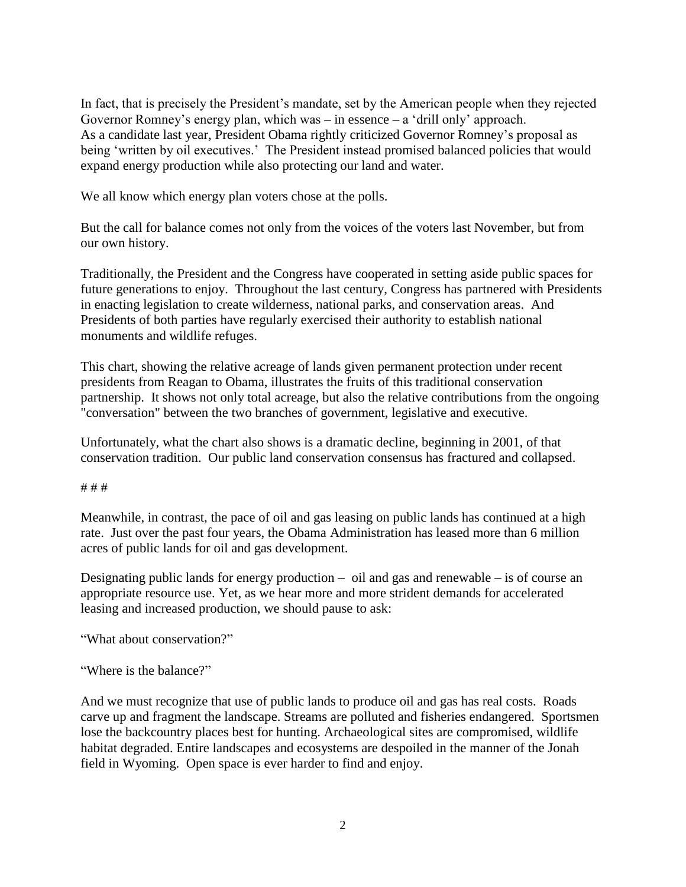In fact, that is precisely the President's mandate, set by the American people when they rejected Governor Romney's energy plan, which was – in essence – a 'drill only' approach. As a candidate last year, President Obama rightly criticized Governor Romney's proposal as being 'written by oil executives.' The President instead promised balanced policies that would expand energy production while also protecting our land and water.

We all know which energy plan voters chose at the polls.

But the call for balance comes not only from the voices of the voters last November, but from our own history.

Traditionally, the President and the Congress have cooperated in setting aside public spaces for future generations to enjoy. Throughout the last century, Congress has partnered with Presidents in enacting legislation to create wilderness, national parks, and conservation areas. And Presidents of both parties have regularly exercised their authority to establish national monuments and wildlife refuges.

This chart, showing the relative acreage of lands given permanent protection under recent presidents from Reagan to Obama, illustrates the fruits of this traditional conservation partnership. It shows not only total acreage, but also the relative contributions from the ongoing "conversation" between the two branches of government, legislative and executive.

Unfortunately, what the chart also shows is a dramatic decline, beginning in 2001, of that conservation tradition. Our public land conservation consensus has fractured and collapsed.

### # # #

Meanwhile, in contrast, the pace of oil and gas leasing on public lands has continued at a high rate. Just over the past four years, the Obama Administration has leased more than 6 million acres of public lands for oil and gas development.

Designating public lands for energy production  $-$  oil and gas and renewable  $-$  is of course an appropriate resource use. Yet, as we hear more and more strident demands for accelerated leasing and increased production, we should pause to ask:

"What about conservation?"

"Where is the balance?"

And we must recognize that use of public lands to produce oil and gas has real costs. Roads carve up and fragment the landscape. Streams are polluted and fisheries endangered. Sportsmen lose the backcountry places best for hunting. Archaeological sites are compromised, wildlife habitat degraded. Entire landscapes and ecosystems are despoiled in the manner of the Jonah field in Wyoming. Open space is ever harder to find and enjoy.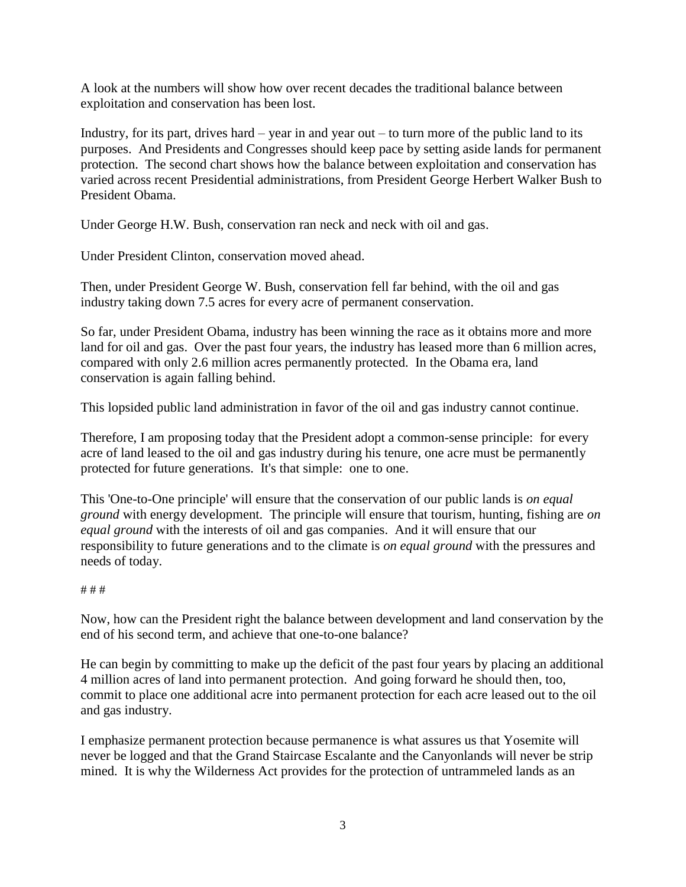A look at the numbers will show how over recent decades the traditional balance between exploitation and conservation has been lost.

Industry, for its part, drives hard – year in and year out – to turn more of the public land to its purposes. And Presidents and Congresses should keep pace by setting aside lands for permanent protection. The second chart shows how the balance between exploitation and conservation has varied across recent Presidential administrations, from President George Herbert Walker Bush to President Obama.

Under George H.W. Bush, conservation ran neck and neck with oil and gas.

Under President Clinton, conservation moved ahead.

Then, under President George W. Bush, conservation fell far behind, with the oil and gas industry taking down 7.5 acres for every acre of permanent conservation.

So far, under President Obama, industry has been winning the race as it obtains more and more land for oil and gas. Over the past four years, the industry has leased more than 6 million acres, compared with only 2.6 million acres permanently protected. In the Obama era, land conservation is again falling behind.

This lopsided public land administration in favor of the oil and gas industry cannot continue.

Therefore, I am proposing today that the President adopt a common-sense principle: for every acre of land leased to the oil and gas industry during his tenure, one acre must be permanently protected for future generations. It's that simple: one to one.

This 'One-to-One principle' will ensure that the conservation of our public lands is *on equal ground* with energy development. The principle will ensure that tourism, hunting, fishing are *on equal ground* with the interests of oil and gas companies. And it will ensure that our responsibility to future generations and to the climate is *on equal ground* with the pressures and needs of today.

### # # #

Now, how can the President right the balance between development and land conservation by the end of his second term, and achieve that one-to-one balance?

He can begin by committing to make up the deficit of the past four years by placing an additional 4 million acres of land into permanent protection. And going forward he should then, too, commit to place one additional acre into permanent protection for each acre leased out to the oil and gas industry.

I emphasize permanent protection because permanence is what assures us that Yosemite will never be logged and that the Grand Staircase Escalante and the Canyonlands will never be strip mined. It is why the Wilderness Act provides for the protection of untrammeled lands as an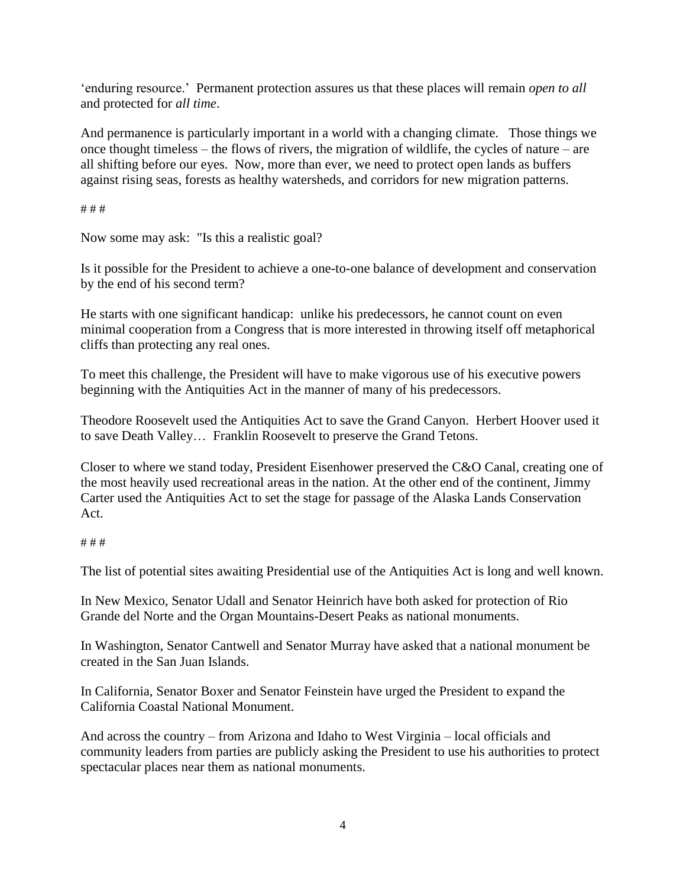'enduring resource.' Permanent protection assures us that these places will remain *open to all* and protected for *all time*.

And permanence is particularly important in a world with a changing climate. Those things we once thought timeless – the flows of rivers, the migration of wildlife, the cycles of nature – are all shifting before our eyes. Now, more than ever, we need to protect open lands as buffers against rising seas, forests as healthy watersheds, and corridors for new migration patterns.

# # #

Now some may ask: "Is this a realistic goal?

Is it possible for the President to achieve a one-to-one balance of development and conservation by the end of his second term?

He starts with one significant handicap: unlike his predecessors, he cannot count on even minimal cooperation from a Congress that is more interested in throwing itself off metaphorical cliffs than protecting any real ones.

To meet this challenge, the President will have to make vigorous use of his executive powers beginning with the Antiquities Act in the manner of many of his predecessors.

Theodore Roosevelt used the Antiquities Act to save the Grand Canyon. Herbert Hoover used it to save Death Valley… Franklin Roosevelt to preserve the Grand Tetons.

Closer to where we stand today, President Eisenhower preserved the C&O Canal, creating one of the most heavily used recreational areas in the nation. At the other end of the continent, Jimmy Carter used the Antiquities Act to set the stage for passage of the Alaska Lands Conservation Act.

## # # #

The list of potential sites awaiting Presidential use of the Antiquities Act is long and well known.

In New Mexico, Senator Udall and Senator Heinrich have both asked for protection of Rio Grande del Norte and the Organ Mountains-Desert Peaks as national monuments.

In Washington, Senator Cantwell and Senator Murray have asked that a national monument be created in the San Juan Islands.

In California, Senator Boxer and Senator Feinstein have urged the President to expand the California Coastal National Monument.

And across the country – from Arizona and Idaho to West Virginia – local officials and community leaders from parties are publicly asking the President to use his authorities to protect spectacular places near them as national monuments.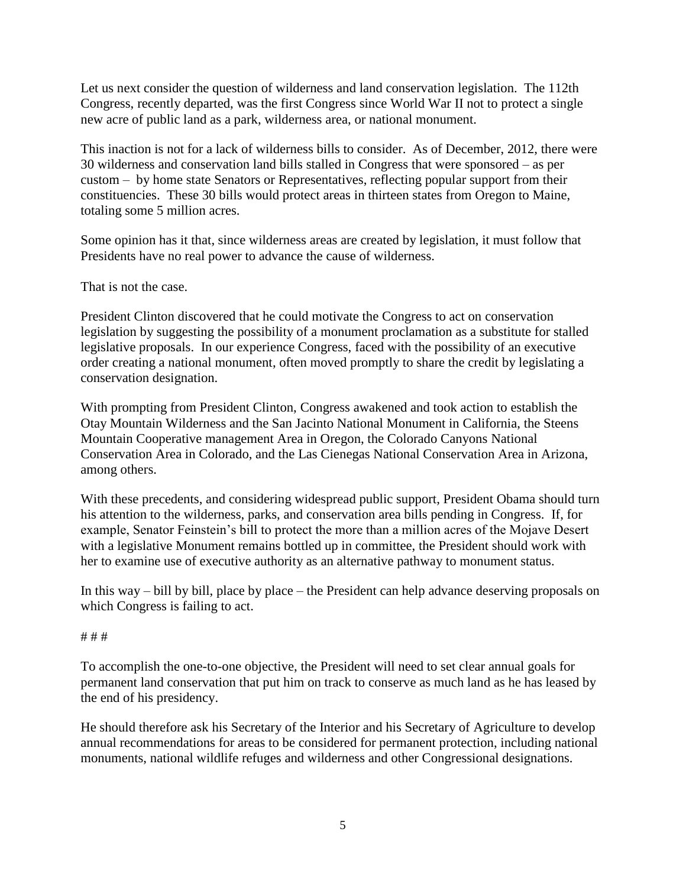Let us next consider the question of wilderness and land conservation legislation. The 112th Congress, recently departed, was the first Congress since World War II not to protect a single new acre of public land as a park, wilderness area, or national monument.

This inaction is not for a lack of wilderness bills to consider. As of December, 2012, there were 30 wilderness and conservation land bills stalled in Congress that were sponsored – as per custom – by home state Senators or Representatives, reflecting popular support from their constituencies. These 30 bills would protect areas in thirteen states from Oregon to Maine, totaling some 5 million acres.

Some opinion has it that, since wilderness areas are created by legislation, it must follow that Presidents have no real power to advance the cause of wilderness.

That is not the case.

President Clinton discovered that he could motivate the Congress to act on conservation legislation by suggesting the possibility of a monument proclamation as a substitute for stalled legislative proposals. In our experience Congress, faced with the possibility of an executive order creating a national monument, often moved promptly to share the credit by legislating a conservation designation.

With prompting from President Clinton, Congress awakened and took action to establish the Otay Mountain Wilderness and the San Jacinto National Monument in California, the Steens Mountain Cooperative management Area in Oregon, the Colorado Canyons National Conservation Area in Colorado, and the Las Cienegas National Conservation Area in Arizona, among others.

With these precedents, and considering widespread public support, President Obama should turn his attention to the wilderness, parks, and conservation area bills pending in Congress. If, for example, Senator Feinstein's bill to protect the more than a million acres of the Mojave Desert with a legislative Monument remains bottled up in committee, the President should work with her to examine use of executive authority as an alternative pathway to monument status.

In this way – bill by bill, place by place – the President can help advance deserving proposals on which Congress is failing to act.

### # # #

To accomplish the one-to-one objective, the President will need to set clear annual goals for permanent land conservation that put him on track to conserve as much land as he has leased by the end of his presidency.

He should therefore ask his Secretary of the Interior and his Secretary of Agriculture to develop annual recommendations for areas to be considered for permanent protection, including national monuments, national wildlife refuges and wilderness and other Congressional designations.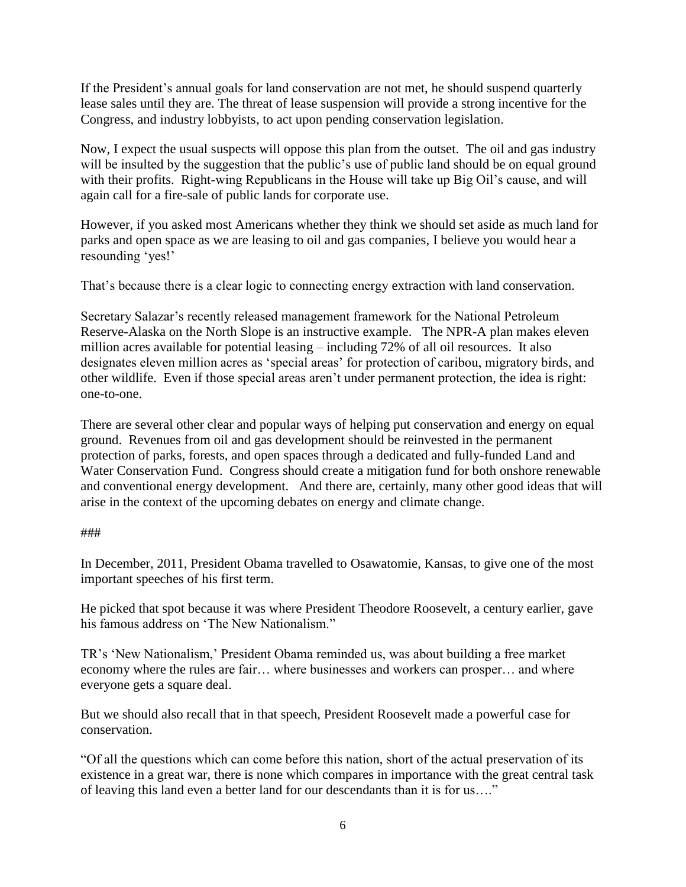If the President's annual goals for land conservation are not met, he should suspend quarterly lease sales until they are. The threat of lease suspension will provide a strong incentive for the Congress, and industry lobbyists, to act upon pending conservation legislation.

Now, I expect the usual suspects will oppose this plan from the outset. The oil and gas industry will be insulted by the suggestion that the public's use of public land should be on equal ground with their profits. Right-wing Republicans in the House will take up Big Oil's cause, and will again call for a fire-sale of public lands for corporate use.

However, if you asked most Americans whether they think we should set aside as much land for parks and open space as we are leasing to oil and gas companies, I believe you would hear a resounding 'yes!'

That's because there is a clear logic to connecting energy extraction with land conservation.

Secretary Salazar's recently released management framework for the National Petroleum Reserve-Alaska on the North Slope is an instructive example. The NPR-A plan makes eleven million acres available for potential leasing – including 72% of all oil resources. It also designates eleven million acres as 'special areas' for protection of caribou, migratory birds, and other wildlife. Even if those special areas aren't under permanent protection, the idea is right: one-to-one.

There are several other clear and popular ways of helping put conservation and energy on equal ground. Revenues from oil and gas development should be reinvested in the permanent protection of parks, forests, and open spaces through a dedicated and fully-funded Land and Water Conservation Fund. Congress should create a mitigation fund for both onshore renewable and conventional energy development. And there are, certainly, many other good ideas that will arise in the context of the upcoming debates on energy and climate change.

### ###

In December, 2011, President Obama travelled to Osawatomie, Kansas, to give one of the most important speeches of his first term.

He picked that spot because it was where President Theodore Roosevelt, a century earlier, gave his famous address on 'The New Nationalism."

TR's 'New Nationalism,' President Obama reminded us, was about building a free market economy where the rules are fair… where businesses and workers can prosper… and where everyone gets a square deal.

But we should also recall that in that speech, President Roosevelt made a powerful case for conservation.

"Of all the questions which can come before this nation, short of the actual preservation of its existence in a great war, there is none which compares in importance with the great central task of leaving this land even a better land for our descendants than it is for us…."